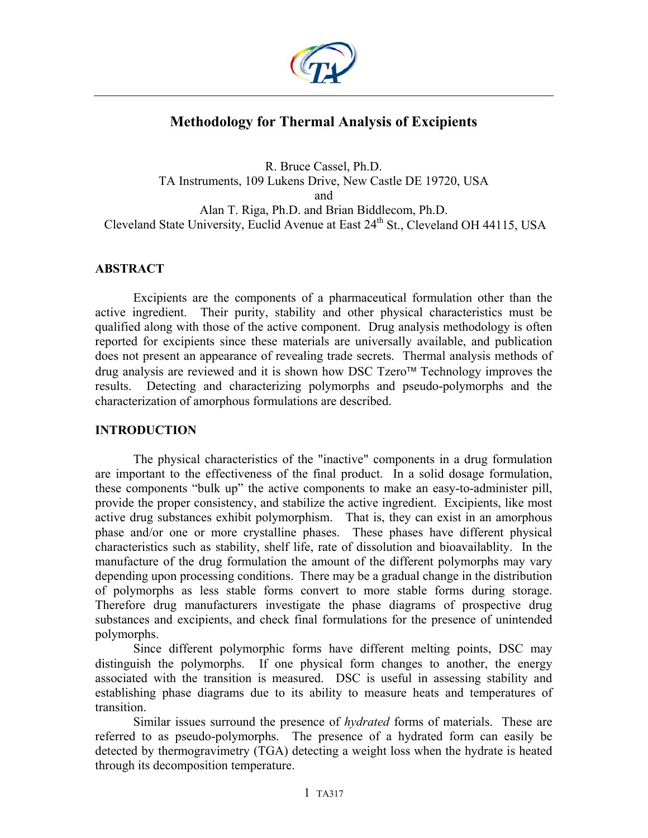

# **Methodology for Thermal Analysis of Excipients**

R. Bruce Cassel, Ph.D. TA Instruments, 109 Lukens Drive, New Castle DE 19720, USA and Alan T. Riga, Ph.D. and Brian Biddlecom, Ph.D. Cleveland State University, Euclid Avenue at East 24<sup>th</sup> St., Cleveland OH 44115, USA

## **ABSTRACT**

Excipients are the components of a pharmaceutical formulation other than the active ingredient. Their purity, stability and other physical characteristics must be qualified along with those of the active component. Drug analysis methodology is often reported for excipients since these materials are universally available, and publication does not present an appearance of revealing trade secrets. Thermal analysis methods of drug analysis are reviewed and it is shown how DSC Tzero™ Technology improves the results. Detecting and characterizing polymorphs and pseudo-polymorphs and the characterization of amorphous formulations are described.

## **INTRODUCTION**

The physical characteristics of the "inactive" components in a drug formulation are important to the effectiveness of the final product. In a solid dosage formulation, these components "bulk up" the active components to make an easy-to-administer pill, provide the proper consistency, and stabilize the active ingredient. Excipients, like most active drug substances exhibit polymorphism. That is, they can exist in an amorphous phase and/or one or more crystalline phases. These phases have different physical characteristics such as stability, shelf life, rate of dissolution and bioavailablity. In the manufacture of the drug formulation the amount of the different polymorphs may vary depending upon processing conditions. There may be a gradual change in the distribution of polymorphs as less stable forms convert to more stable forms during storage. Therefore drug manufacturers investigate the phase diagrams of prospective drug substances and excipients, and check final formulations for the presence of unintended polymorphs.

Since different polymorphic forms have different melting points, DSC may distinguish the polymorphs. If one physical form changes to another, the energy associated with the transition is measured. DSC is useful in assessing stability and establishing phase diagrams due to its ability to measure heats and temperatures of transition.

Similar issues surround the presence of *hydrated* forms of materials. These are referred to as pseudo-polymorphs. The presence of a hydrated form can easily be detected by thermogravimetry (TGA) detecting a weight loss when the hydrate is heated through its decomposition temperature.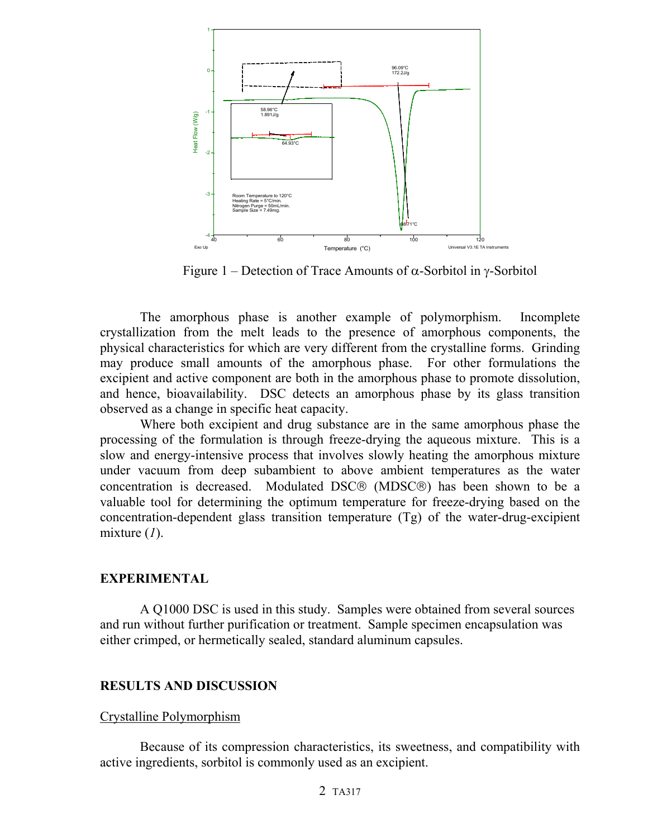

Figure 1 – Detection of Trace Amounts of α-Sorbitol in γ-Sorbitol

The amorphous phase is another example of polymorphism. Incomplete crystallization from the melt leads to the presence of amorphous components, the physical characteristics for which are very different from the crystalline forms. Grinding may produce small amounts of the amorphous phase. For other formulations the excipient and active component are both in the amorphous phase to promote dissolution, and hence, bioavailability. DSC detects an amorphous phase by its glass transition observed as a change in specific heat capacity.

Where both excipient and drug substance are in the same amorphous phase the processing of the formulation is through freeze-drying the aqueous mixture. This is a slow and energy-intensive process that involves slowly heating the amorphous mixture under vacuum from deep subambient to above ambient temperatures as the water concentration is decreased. Modulated DSC® (MDSC®) has been shown to be a valuable tool for determining the optimum temperature for freeze-drying based on the concentration-dependent glass transition temperature (Tg) of the water-drug-excipient mixture (*1*).

#### **EXPERIMENTAL**

A Q1000 DSC is used in this study. Samples were obtained from several sources and run without further purification or treatment. Sample specimen encapsulation was either crimped, or hermetically sealed, standard aluminum capsules.

## **RESULTS AND DISCUSSION**

## Crystalline Polymorphism

Because of its compression characteristics, its sweetness, and compatibility with active ingredients, sorbitol is commonly used as an excipient.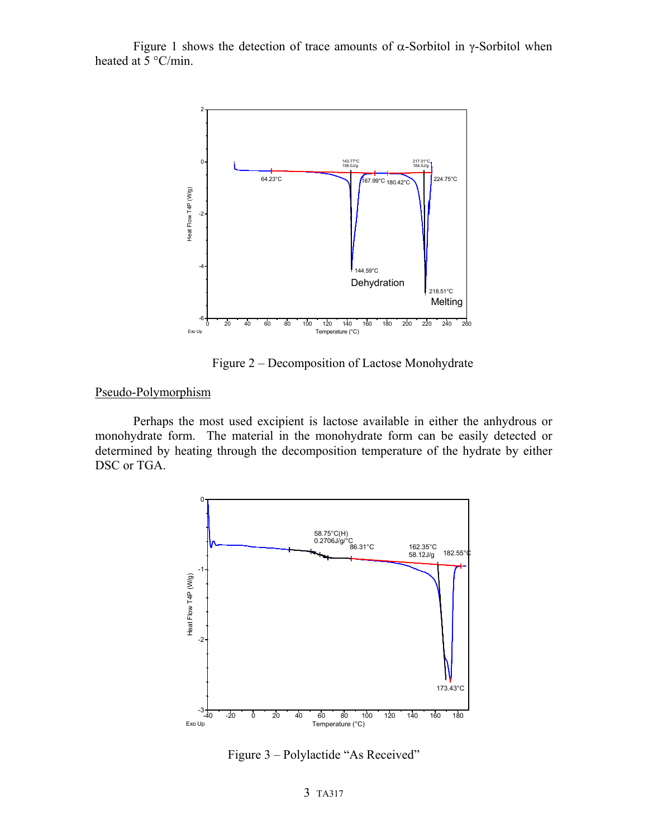Figure 1 shows the detection of trace amounts of  $\alpha$ -Sorbitol in γ-Sorbitol when heated at 5 °C/min.



Figure 2 – Decomposition of Lactose Monohydrate

## Pseudo-Polymorphism

Perhaps the most used excipient is lactose available in either the anhydrous or monohydrate form. The material in the monohydrate form can be easily detected or determined by heating through the decomposition temperature of the hydrate by either DSC or TGA.



Figure 3 – Polylactide "As Received"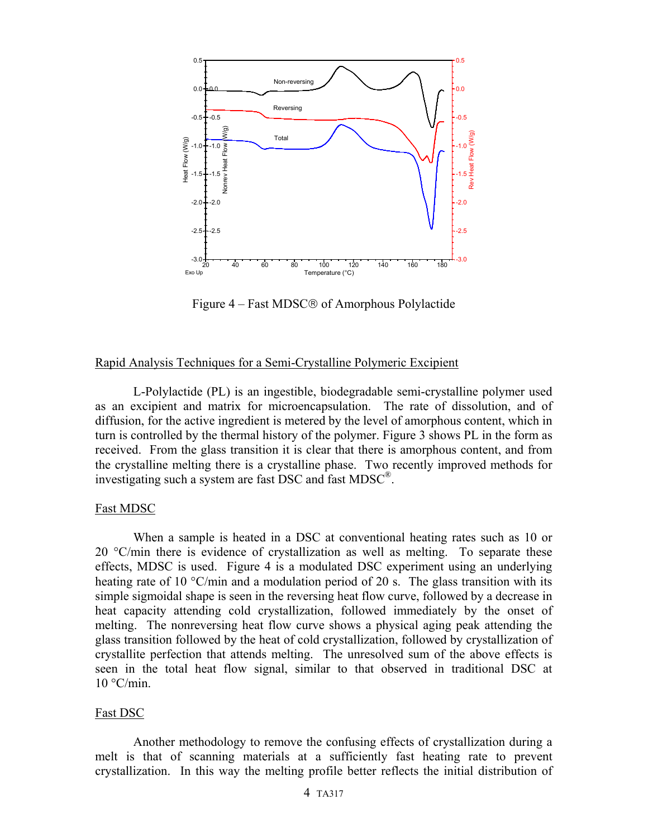

Figure 4 – Fast MDSC® of Amorphous Polylactide

### Rapid Analysis Techniques for a Semi-Crystalline Polymeric Excipient

L-Polylactide (PL) is an ingestible, biodegradable semi-crystalline polymer used as an excipient and matrix for microencapsulation. The rate of dissolution, and of diffusion, for the active ingredient is metered by the level of amorphous content, which in turn is controlled by the thermal history of the polymer. Figure 3 shows PL in the form as received. From the glass transition it is clear that there is amorphous content, and from the crystalline melting there is a crystalline phase. Two recently improved methods for investigating such a system are fast DSC and fast MDSC®.

## Fast MDSC

When a sample is heated in a DSC at conventional heating rates such as 10 or 20 °C/min there is evidence of crystallization as well as melting. To separate these effects, MDSC is used. Figure 4 is a modulated DSC experiment using an underlying heating rate of 10  $\degree$ C/min and a modulation period of 20 s. The glass transition with its simple sigmoidal shape is seen in the reversing heat flow curve, followed by a decrease in heat capacity attending cold crystallization, followed immediately by the onset of melting. The nonreversing heat flow curve shows a physical aging peak attending the glass transition followed by the heat of cold crystallization, followed by crystallization of crystallite perfection that attends melting. The unresolved sum of the above effects is seen in the total heat flow signal, similar to that observed in traditional DSC at  $10 °C/min$ .

## Fast DSC

Another methodology to remove the confusing effects of crystallization during a melt is that of scanning materials at a sufficiently fast heating rate to prevent crystallization. In this way the melting profile better reflects the initial distribution of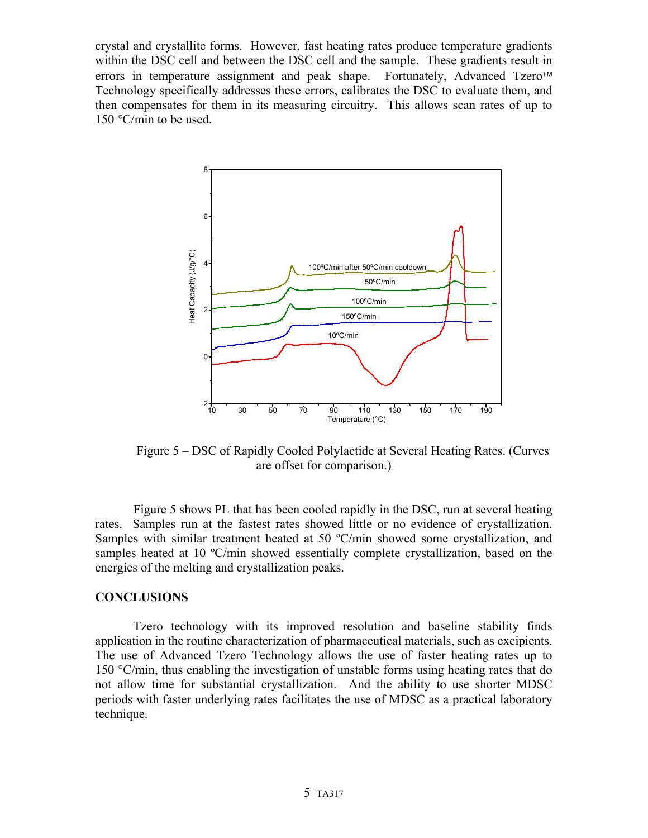crystal and crystallite forms. However, fast heating rates produce temperature gradients within the DSC cell and between the DSC cell and the sample. These gradients result in errors in temperature assignment and peak shape. Fortunately, Advanced Tzero<sup>™</sup> Technology specifically addresses these errors, calibrates the DSC to evaluate them, and then compensates for them in its measuring circuitry. This allows scan rates of up to 150 *°*C/min to be used.



Figure 5 – DSC of Rapidly Cooled Polylactide at Several Heating Rates. (Curves are offset for comparison.)

Figure 5 shows PL that has been cooled rapidly in the DSC, run at several heating rates. Samples run at the fastest rates showed little or no evidence of crystallization. Samples with similar treatment heated at 50 ºC/min showed some crystallization, and samples heated at 10 °C/min showed essentially complete crystallization, based on the energies of the melting and crystallization peaks.

### **CONCLUSIONS**

Tzero technology with its improved resolution and baseline stability finds application in the routine characterization of pharmaceutical materials, such as excipients. The use of Advanced Tzero Technology allows the use of faster heating rates up to 150 °C/min, thus enabling the investigation of unstable forms using heating rates that do not allow time for substantial crystallization. And the ability to use shorter MDSC periods with faster underlying rates facilitates the use of MDSC as a practical laboratory technique.